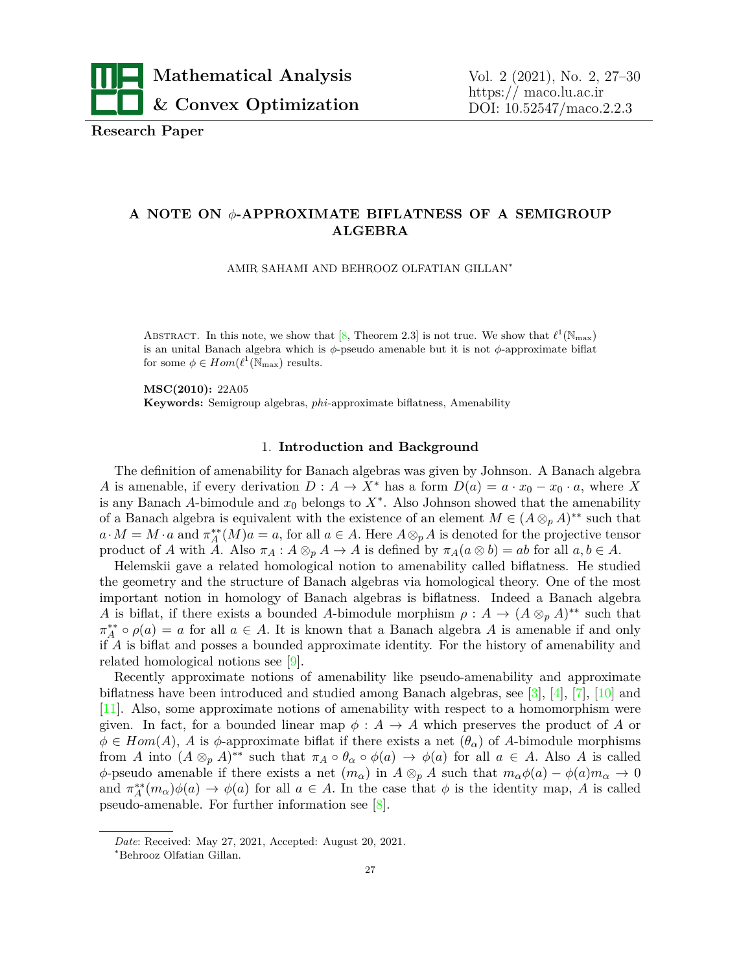

**Research Paper**

# **A NOTE ON** *ϕ***-APPROXIMATE BIFLATNESS OF A SEMIGROUP ALGEBRA**

AMIR SAHAMI AND BEHROOZ OLFATIAN GILLAN*<sup>∗</sup>*

ABSTRACT. In this note, we show that [\[8,](#page-3-0) Theorem 2.3] is not true. We show that  $\ell^1(\mathbb{N}_{\max})$ is an unital Banach algebra which is *ϕ*-pseudo amenable but it is not *ϕ*-approximate biflat for some  $\phi \in Hom(\ell^1(\mathbb{N}_{\max}))$  results.

**MSC(2010):** 22A05 Keywords: Semigroup algebras, *phi*-approximate biflatness, Amenability

#### 1. **Introduction and Background**

The definition of amenability for Banach algebras was given by Johnson. A Banach algebra *A* is amenable, if every derivation  $D: A \to X^*$  has a form  $D(a) = a \cdot x_0 - x_0 \cdot a$ , where X is any Banach A-bimodule and  $x_0$  belongs to  $X^*$ . Also Johnson showed that the amenability of a Banach algebra is equivalent with the existence of an element  $M \in (A \otimes_p A)^{**}$  such that  $a \cdot M = M \cdot a$  and  $\pi_A^{**}(M)a = a$ , for all  $a \in A$ . Here  $A \otimes_p A$  is denoted for the projective tensor product of *A* with *A*. Also  $\pi_A : A \otimes_p A \to A$  is defined by  $\pi_A(a \otimes b) = ab$  for all  $a, b \in A$ .

Helemskii gave a related homological notion to amenability called biflatness. He studied the geometry and the structure of Banach algebras via homological theory. One of the most important notion in homology of Banach algebras is biflatness. Indeed a Banach algebra *A* is biflat, if there exists a bounded *A*-bimodule morphism  $\rho: A \to (A \otimes_p A)^{**}$  such that  $\pi_A^{**} \circ \rho(a) = a$  for all  $a \in A$ . It is known that a Banach algebra *A* is amenable if and only if *A* is biflat and posses a bounded approximate identity. For the history of amenability and related homological notions see [\[9\]](#page-3-1).

Recently approximate notions of amenability like pseudo-amenability and approximate biflatnesshave been introduced and studied among Banach algebras, see  $[3]$  $[3]$  $[3]$ ,  $[4]$  $[4]$  $[4]$ ,  $[7]$  $[7]$  $[7]$ ,  $[10]$  $[10]$  and [\[11\]](#page-3-6). Also, some approximate notions of amenability with respect to a homomorphism were given. In fact, for a bounded linear map  $\phi : A \rightarrow A$  which preserves the product of A or  $\phi \in Hom(A)$ , *A* is  $\phi$ -approximate biflat if there exists a net  $(\theta_{\alpha})$  of *A*-bimodule morphisms from A into  $(A \otimes_{p} A)^{**}$  such that  $\pi_A \circ \theta_\alpha \circ \phi(a) \to \phi(a)$  for all  $a \in A$ . Also A is called  $\phi$ -pseudo amenable if there exists a net  $(m_\alpha)$  in  $A \otimes_p A$  such that  $m_\alpha \phi(a) - \phi(a)m_\alpha \to 0$ and  $\pi_A^{**}(m_\alpha)\phi(a) \to \phi(a)$  for all  $a \in A$ . In the case that  $\phi$  is the identity map, *A* is called pseudo-amenable. For further information see [\[8\]](#page-3-0).

*Date*: Received: May 27, 2021, Accepted: August 20, 2021.

*<sup>∗</sup>*Behrooz Olfatian Gillan.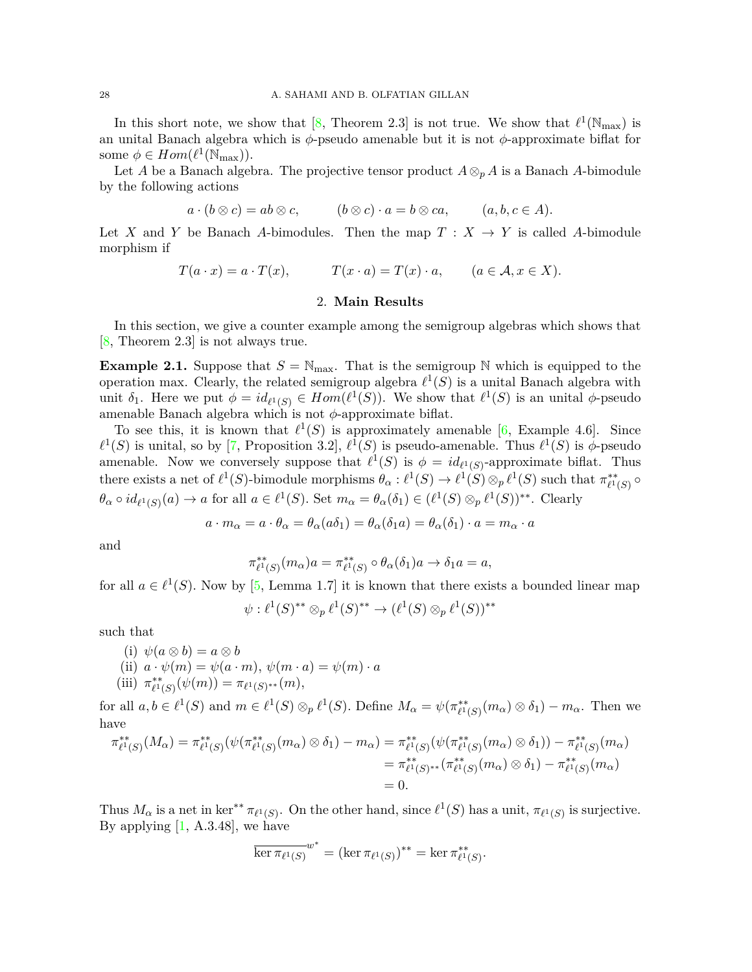In this short note, we show that [[8](#page-3-0), Theorem 2.3] is not true. We show that  $\ell^1(\mathbb{N}_{\max})$  is an unital Banach algebra which is *ϕ*-pseudo amenable but it is not *ϕ*-approximate biflat for some  $\phi \in Hom(\ell^1(\mathbb{N}_{\max}))$ .

Let *A* be a Banach algebra. The projective tensor product  $A \otimes_p A$  is a Banach *A*-bimodule by the following actions

$$
a \cdot (b \otimes c) = ab \otimes c, \qquad (b \otimes c) \cdot a = b \otimes ca, \qquad (a, b, c \in A).
$$

Let *X* and *Y* be Banach *A*-bimodules. Then the map  $T : X \rightarrow Y$  is called *A*-bimodule morphism if

$$
T(a \cdot x) = a \cdot T(x), \qquad T(x \cdot a) = T(x) \cdot a, \qquad (a \in \mathcal{A}, x \in X).
$$

## 2. **Main Results**

In this section, we give a counter example among the semigroup algebras which shows that [\[8](#page-3-0), Theorem 2.3] is not always true.

**Example 2.1.** Suppose that  $S = N_{\text{max}}$ . That is the semigroup N which is equipped to the operation max. Clearly, the related semigroup algebra  $\ell^1(S)$  is a unital Banach algebra with unit  $\delta_1$ . Here we put  $\phi = id_{\ell^1(S)} \in Hom(\ell^1(S))$ . We show that  $\ell^1(S)$  is an unital  $\phi$ -pseudo amenable Banach algebra which is not *ϕ*-approximate biflat.

To see this, it is known that  $\ell^1(S)$  is approximately amenable [\[6,](#page-3-7) Example 4.6]. Since  $\ell^1(S)$  is unital, so by [\[7,](#page-3-4) Proposition 3.2],  $\ell^1(S)$  is pseudo-amenable. Thus  $\ell^1(S)$  is  $\phi$ -pseudo amenable. Now we conversely suppose that  $\ell^1(S)$  is  $\phi = id_{\ell^1(S)}$ -approximate biflat. Thus there exists a net of  $\ell^1(S)$ -bimodule morphisms  $\theta_\alpha: \ell^1(S) \to \ell^1(S) \otimes_p \ell^1(S)$  such that  $\pi_{\ell^1(S)}^{**} \circ$  $\theta_{\alpha} \circ id_{\ell^1(S)}(a) \to a$  for all  $a \in \ell^1(S)$ . Set  $m_{\alpha} = \theta_{\alpha}(\delta_1) \in (\ell^1(S) \otimes_{\mathfrak{p}} \ell^1(S))^{**}$ . Clearly

$$
a \cdot m_{\alpha} = a \cdot \theta_{\alpha} = \theta_{\alpha}(a\delta_1) = \theta_{\alpha}(\delta_1 a) = \theta_{\alpha}(\delta_1) \cdot a = m_{\alpha} \cdot a
$$

and

$$
\pi_{\ell^1(S)}^{**}(m_\alpha)a = \pi_{\ell^1(S)}^{**} \circ \theta_\alpha(\delta_1)a \to \delta_1 a = a,
$$

for all  $a \in \ell^1(S)$ . Now by [[5](#page-3-8), Lemma 1.7] it is known that there exists a bounded linear map

$$
\psi : \ell^1(S)^{**} \otimes_p \ell^1(S)^{**} \to (\ell^1(S) \otimes_p \ell^1(S))^{**}
$$

such that

(i) 
$$
\psi(a \otimes b) = a \otimes b
$$
  
\n(ii)  $a \cdot \psi(m) = \psi(a \cdot m), \psi(m \cdot a) = \psi(m) \cdot a$   
\n(iii)  $\pi_{\ell^1(S)}^{**}(\psi(m)) = \pi_{\ell^1(S)^{**}}(m),$ 

for all  $a, b \in \ell^1(S)$  and  $m \in \ell^1(S) \otimes_p \ell^1(S)$ . Define  $M_\alpha = \psi(\pi_{\ell^1(S)}^{**}(m_\alpha) \otimes \delta_1) - m_\alpha$ . Then we have

$$
\pi_{\ell^1(S)}^{**}(M_{\alpha}) = \pi_{\ell^1(S)}^{**}(\psi(\pi_{\ell^1(S)}^{**}(m_{\alpha}) \otimes \delta_1) - m_{\alpha}) = \pi_{\ell^1(S)}^{**}(\psi(\pi_{\ell^1(S)}^{**}(m_{\alpha}) \otimes \delta_1)) - \pi_{\ell^1(S)}^{**}(m_{\alpha})
$$
  
=  $\pi_{\ell^1(S)^{**}}^{**}(\pi_{\ell^1(S)}^{**}(m_{\alpha}) \otimes \delta_1) - \pi_{\ell^1(S)}^{**}(m_{\alpha})$   
= 0.

Thus  $M_{\alpha}$  is a net in ker<sup>\*\*</sup>  $\pi_{\ell^1(S)}$ . On the other hand, since  $\ell^1(S)$  has a unit,  $\pi_{\ell^1(S)}$  is surjective. By applying  $[1, A.3.48]$  $[1, A.3.48]$  $[1, A.3.48]$ , we have

$$
\overline{\ker \pi_{\ell^1(S)}}^{w^*} = (\ker \pi_{\ell^1(S)})^{**} = \ker \pi_{\ell^1(S)}^{**}.
$$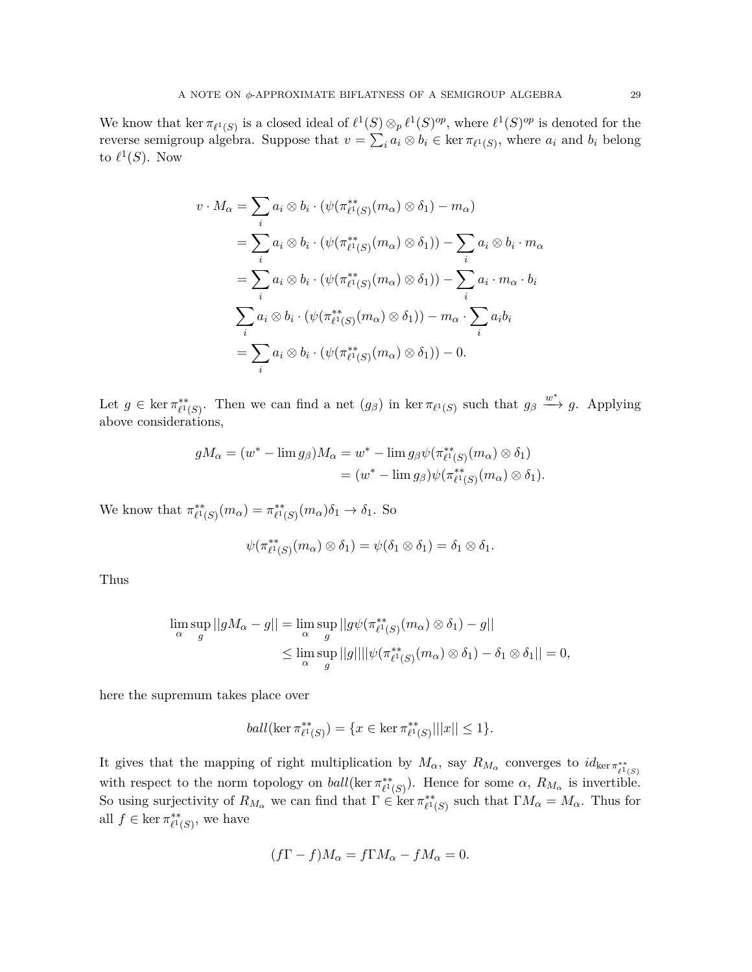We know that ker  $\pi_{\ell^1(S)}$  is a closed ideal of  $\ell^1(S) \otimes_p \ell^1(S)^{op}$ , where  $\ell^1(S)^{op}$  is denoted for the reverse semigroup algebra. Suppose that  $v = \sum_i a_i \otimes b_i \in \ker \pi_{\ell^1(S)}$ , where  $a_i$  and  $b_i$  belong to  $\ell^1(S)$ . Now

$$
v \cdot M_{\alpha} = \sum_{i} a_{i} \otimes b_{i} \cdot (\psi(\pi_{\ell^{1}(S)}^{**}(m_{\alpha}) \otimes \delta_{1}) - m_{\alpha})
$$
  
\n
$$
= \sum_{i} a_{i} \otimes b_{i} \cdot (\psi(\pi_{\ell^{1}(S)}^{**}(m_{\alpha}) \otimes \delta_{1})) - \sum_{i} a_{i} \otimes b_{i} \cdot m_{\alpha}
$$
  
\n
$$
= \sum_{i} a_{i} \otimes b_{i} \cdot (\psi(\pi_{\ell^{1}(S)}^{**}(m_{\alpha}) \otimes \delta_{1})) - \sum_{i} a_{i} \cdot m_{\alpha} \cdot b_{i}
$$
  
\n
$$
\sum_{i} a_{i} \otimes b_{i} \cdot (\psi(\pi_{\ell^{1}(S)}^{**}(m_{\alpha}) \otimes \delta_{1})) - m_{\alpha} \cdot \sum_{i} a_{i}b_{i}
$$
  
\n
$$
= \sum_{i} a_{i} \otimes b_{i} \cdot (\psi(\pi_{\ell^{1}(S)}^{**}(m_{\alpha}) \otimes \delta_{1})) - 0.
$$

Let  $g \in \ker \pi_{\ell^1(S)}^{**}$ . Then we can find a net  $(g_\beta)$  in  $\ker \pi_{\ell^1(S)}$  such that  $g_\beta \stackrel{w^*}{\longrightarrow} g$ . Applying above considerations,

$$
gM_{\alpha} = (w^* - \lim g_{\beta})M_{\alpha} = w^* - \lim g_{\beta}\psi(\pi_{\ell^1(S)}^{**}(m_{\alpha}) \otimes \delta_1)
$$
  
= 
$$
(w^* - \lim g_{\beta})\psi(\pi_{\ell^1(S)}^{**}(m_{\alpha}) \otimes \delta_1).
$$

We know that  $\pi_{\ell^1(S)}^{**}(m_\alpha) = \pi_{\ell^1(S)}^{**}(m_\alpha)\delta_1 \to \delta_1$ . So

$$
\psi(\pi^{**}_{\ell^1(S)}(m_\alpha)\otimes \delta_1)=\psi(\delta_1\otimes \delta_1)=\delta_1\otimes \delta_1.
$$

Thus

$$
\lim_{\alpha} \sup_{g} ||gM_{\alpha} - g|| = \lim_{\alpha} \sup_{g} ||g\psi(\pi_{\ell^1(S)}^{**}(m_{\alpha}) \otimes \delta_1) - g||
$$
  

$$
\leq \lim_{\alpha} \sup_{g} ||g|| ||\psi(\pi_{\ell^1(S)}^{**}(m_{\alpha}) \otimes \delta_1) - \delta_1 \otimes \delta_1|| = 0,
$$

here the supremum takes place over

$$
ball(\ker \pi_{\ell^1(S)}^{**}) = \{ x \in \ker \pi_{\ell^1(S)}^{**} |||x|| \le 1 \}.
$$

It gives that the mapping of right multiplication by  $M_{\alpha}$ , say  $R_{M_{\alpha}}$  converges to  $id_{\text{ker }\pi_{\ell^1(S)}^{**}}$ with respect to the norm topology on *ball*(ker  $\pi^{**}_{\ell^1(S)}$ ). Hence for some  $\alpha$ ,  $R_{M_\alpha}$  is invertible. So using surjectivity of  $R_{M_\alpha}$  we can find that  $\Gamma \in \ker \pi_{\ell^1(S)}^{**}$  such that  $\Gamma M_\alpha = M_\alpha$ . Thus for all  $f \in \ker \pi_{\ell^1(S)}^{**}$ , we have

$$
(f\Gamma - f)M_{\alpha} = f\Gamma M_{\alpha} - fM_{\alpha} = 0.
$$